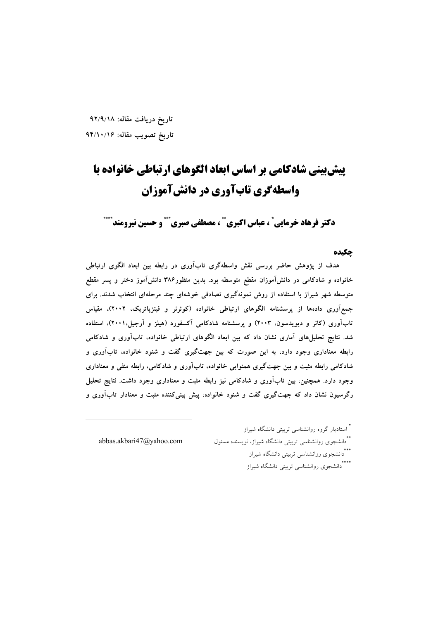تاريخ دريافت مقاله: ٩٢/٩/١٨ تاريخ تصويب مقاله: ۹۴/۱۰/۱۶

# **پیش بینی شادکامی بر اساس ابعاد الگوهای ارتباطی خانواده با واسطهگری تابآوری در دانشآموزان**

دكتر فرهاد خرمايي ْ ، عباس اكبري `` ، مصطفى صبري ``` و حسين نيرومند ``

### چکیده

هدف از پژوهش حاضر بررسی نقش واسطهگری تابآوری در رابطه بین ابعاد الگوی ارتباطی خانواده و شادکامی در دانشآموزان مقطع متوسطه بود. بدین منظور۳۸۶ دانشآموز دختر و پسر مقطع متوسطه شهر شیراز با استفاده از روش نمونهگیری تصادفی خوشهای چند مرحلهای انتخاب شدند. برای جمع آوری دادهها از پرسشنامه الگوهای ارتباطی خانواده (کوئرنر و فیتزپاتریک، ۲۰۰۲)، مقیاس تابآوری (کانر و دیویدسون، ۲۰۰۳) و پرسشنامه شادکامی آکسفورد (هیلز و آرجیل،۲۰۰۱)، استفاده شد. نتایج تحلیلهای آماری نشان داد که بین ابعاد الگوهای ارتباطی خانواده، تابآوری و شادکامی رابطه معناداری وجود دارد، به این صورت که بین جهتگیری گفت و شنود خانواده، تابآوری و شادکامی رابطه مثبت و بین جهتگیری همنوایی خانواده، تابآوری و شادکامی، رابطه منفی و معناداری وجود دارد. همچنین، بین تابآوری و شادکامی نیز رابطه مثبت و معناداری وجود داشت. نتایج تحلیل رگرسیون نشان داد که جهتگیری گفت و شنود خانواده، پیش بینیکننده مثبت و معنادار تابآوری و

\* استادیار گروه روانشناسی تربیتی دانشگاه شیراز \*\*دانشجوی روانشناسی تربیتی دانشگاه شیراز، نویسنده مسئول abbas.akbari47@yahoo.com \*\*\*<br>\*\*\*دانشجوی روانشناسی تربیتی دانشگاه شیراز \*\*\*\*<br>\*دانشجوی روانشناسی تربیتی دانشگاه شیراز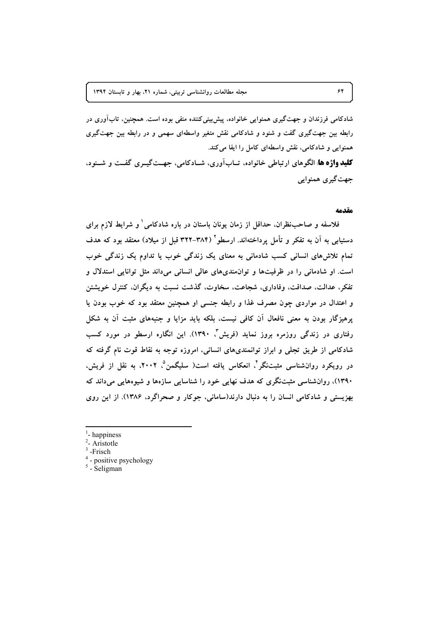شادکامی فرزندان و جهتگیری همنوایی خانواده، پیش پینی کننده منفی بوده است. همچنین، تابآوری در رابطه بین جهت گیری گفت و شنود و شادکامی نقش متغیر واسطهای سهمی و در رابطه بین جهت گیری همنوایی و شادکامی، نقش واسطهای کامل را ایفا میکند. **کلید واژه ها** الگوهای ارتباطی خانواده، تــابآوری، شــادکامی، جهــتگیــری گفــت و شــنود، جهت گيري همنوايي

#### مقدمه

فلاسفه و صاحب نظران، حداقل از زمان یونان باستان در باره شادکامی و شرایط لازم برای دستیابی به آن به تفکر و تأمل پرداختهاند. ارسطو ۲۸۴-۳۲۲ قبل از میلاد) معتقد بود که هدف تمام تلاشهای انسانی کسب شادمانی به معنای یک زندگی خوب یا تداوم یک زندگی خوب است. او شادمانی را در ظرفیتها و توان مندیهای عالی انسانی میداند مثل توانایی استدلال و تفكر، عدالت، صداقت، وفاداري، شجاعت، سخاوت، گذشت نسبت به ديگران، كنترل خويشتن و اعتدال در مواردی چون مصرف غذا و رابطه جنسی او همچنین معتقد بود که خوب بودن یا یرهیزگار بودن به معنی نافعال آن کافی نیست، بلکه باید مزایا و جنبههای مثبت آن به شکل رفتاری در زندگی روزمره بروز نماید (فریش<sup>۳</sup>، ۱۳۹۰). این انگاره ارسطو در مورد کسب شادکامی از طریق تجلّی و ابراز توانمندیهای انسانی، امروزه توجه به نقاط قوت نام گرفته که در رویکرد روانشناسی مثبتنگر<sup>۴</sup>، انعکاس یافته است( سلیگمن<sup>۵</sup>، ۲۰۰۲، به نقل از فریش، ۱۳۹۰)، روانشناسی مثبتنگری که هدف نهایی خود را شناسایی سازهها و شیوههایی میداند که بهزیستی و شادکامی انسان را به دنبال دارند(سامانی، جوکار و صحراگرد، ۱۳۸۶). از این روی

- $\frac{1}{2}$ -happiness
- <sup>2</sup>- Aristotle
- $3$ -Frisch
- positive psychology

 $5$  - Seligman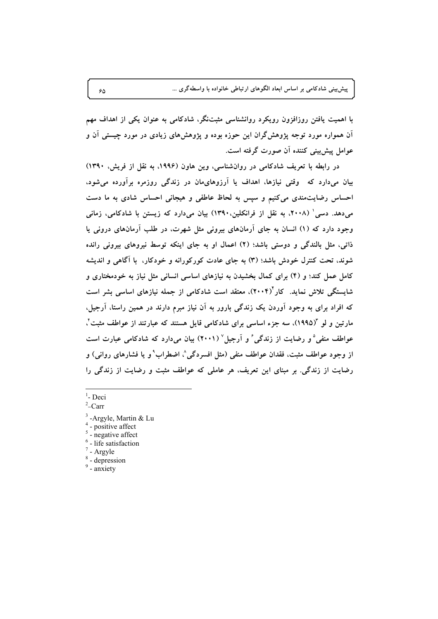پیش بینی شادکامی بر اساس ابعاد الگوهای ارتباطی خانواده با واسطهگری …

با اهمیت یافتن روزافزون رویکرد روانشناسی مثبتنگر، شادکامی به عنوان یکی از اهداف مهم ان همواره مورد توجه پژوهشگران این حوزه بوده و پژوهشهای زیادی در مورد چیستی ان و عوامل پیش<sub>بینی</sub> کننده ان صورت گرفته است.

در رابطه با تعریف شادکامی در روانشناسی، وین هاون (۱۹۹۶، به نقل از فریش، ۱۳۹۰) بیان میدارد که وقتی نیازها، اهداف یا ارزوهایمان در زندگی روزمره براورده میشود، احساس رضایتمندی میکنیم و سپس به لحاظ عاطفی و هیجانی احساس شادی به ما دست میدهد. دسی' (۲۰۰۸) به نقل از فرانکلین.۱۳۹۰) بیان میدارد که زیستن با شادکامی، زمانی وجود دارد که (۱) انسان به جای ارمانهای بیرونی مثل شهرت، در طلب ارمانهای درونی یا ذاتی، مثل بالندگی و دوستی باشد؛ (۲) اعمال او به جای اینکه توسط نیروهای بیرونی رانده شوند، تحت کنترل خودش باشد؛ (۳) به جای عادت کورکورانه و خودکار، با اگاهی و اندیشه کامل عمل کند؛ و (۴) برای کمال بخشیدن به نیازهای اساسی انسانی مثل نیاز به خودمختاری و شایستگی تلاش نماید. کار $(\check{\bm{\gamma}}\cdot\check{\bm{\epsilon}})$ ، معتقد است شادکامی از جمله نیازهای اساسی بشر است که افراد برای به وجود اوردن یک زندگی بارور به ان نیاز مبرم دارند در همین راستا، ارجیل. مارتین و لو "(۱۹۹۵)، سه جزء اساسی برای شادکامی قایل هستند که عبارتند از عواطف مثبت ٔ، عواطف منفی ؓ و رضایت از زندگی ٔ و آرجیل ٔ (۲۰۰۱) بیان میدارد که شادکامی عبارت است از وجود عواطف مثبت، فقدان عواطف منفی (مثل افسردگی^، اضطراب° و یا فشارهای روانی) و رضایت از زندگی. بر مبنای این تعریف، هر عاملی که عواطف مثبت و رضایت از زندگی را

- <sup>1</sup>- Deci<br><sup>2</sup> Carr
- $2$ –Carr
- <sup>3</sup> -Argyle, Martin & Lu<sup>4</sup> positive affect
- 
- 
- $5 negative$  affect  $6 life$  satisfaction  $7 Argy$ le  $8 depression$   $9 anxiety$
- 
- 
-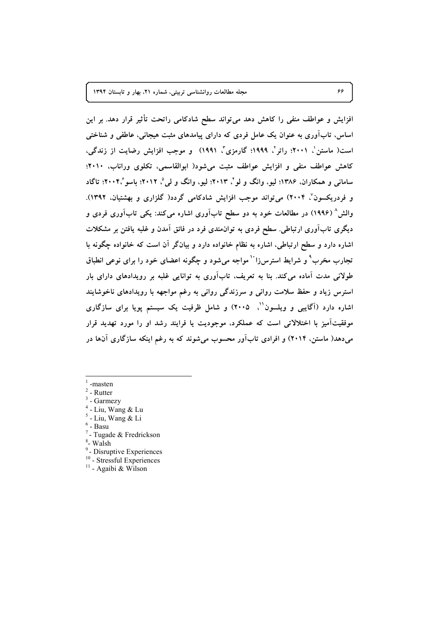مجله مطالعات روانشناسی تربیتی، شماره ۲۱، بهار و تابستان ۱۳۹۴

افزایش و عواطف منفی را کاهش دهد می تواند سطح شادکامی راتحت تأثیر قرار دهد. بر این اساس، تابآوری به عنوان یک عامل فردی که دارای پیامدهای مثبت هیجانی، عاطفی و شناختی است( ماستن'، ۲۰۰۱؛ راتر'، ۱۹۹۹؛ گارمزی''، ۱۹۹۱) و موجب افزایش رضایت از زندگی، کاهش عواطف منفی و افزایش عواطف مثبت می شود( ابوالقاسمی، تکلوی وراناب، ۲۰۱۰؛ ساماني و همکاران، ۱۳۸۶؛ ليو، وانگ و لو ً، ۲۰۱۳؛ ليو، وانگ و لي ً، ۲۰۱۲؛ باسو ً،۲۰۰۴؛ تاگاد و فردریکسون٬ ۲۰۰۴) می تواند موجب افزایش شادکامی گردد( گلزاری و بهشتیان، ۱۳۹۲). والش ۵ (۱۹۹۶) در مطالعات خود به دو سطح تابآوری اشاره می کند: یکی تابآوری فردی و دیگری تابآوری ارتباطی. سطح فردی به توان0مندی فرد در فائق آمدن و غلبه یافتن بر مشکلات اشاره دارد و سطح ارتباطی، اشاره به نظام خانواده دارد و بیانگر آن است که خانواده چگونه با تجارب مخرب ْ و شرایط استرسi'` مواجه میشود و چگونه اعضای خود را برای نوعی انطباق طولانی مدت آماده میکند. بنا به تعریف، تابآوری به توانایی غلبه بر رویدادهای دارای بار استرس زیاد و حفظ سلامت روانی و سرزندگی روانی به رغم مواجهه با رویدادهای ناخوشایند اشاره دارد (آگایبی و ویلسون<sup>۱٬</sup>، ۲۰۰۵) و شامل ظرفیت یک سیستم پویا برای سازگاری موفقیتاًمیز با اختلالاتی است که عملکرد، موجودیت یا فرایند رشد او را مورد تهدید قرار میدهد( ماستن، ۲۰۱۴) و افرادی تابآور محسوب میشوند که به رغم اینکه سازگاری آنها در

- -masten
- $2$  Rutter
- $3$  Garmezy
- Liu, Wang & Lu
- $5$  Liu, Wang & Li
- $<sup>6</sup>$  Basu</sup>
- $7$  Tugade & Fredrickson
- <sup>8</sup>- Walsh
- <sup>9</sup>- Disruptive Experiences
- <sup>10</sup> Stressful Experiences
- <sup>11</sup> Agaibi & Wilson

۶۶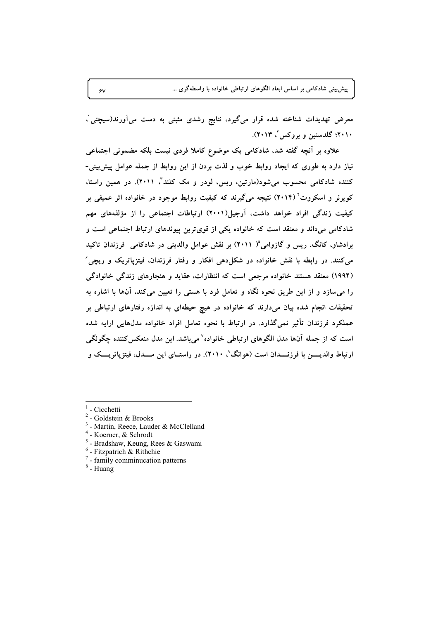پیش بینی شادکامی بر اساس ابعاد الگوهای ارتباطی خانواده با واسطهگری …

معرض تهدیدات شناخته شده قرار میگیرد، نتایج رشدی مثبتی به دست میآورند(سیچتی<sup>'</sup>، **n8 #' /09&F- q2010 <sup>2</sup> .(2013 N**

علاوه بر انچه گفته شد، شادکامی یک موضوع کاملا فردی نیست بلکه مضمونی اجتماعی نیاز دارد به طوری که ایجاد روابط خوب و لذت بردن از این روابط از جمله عوامل پیش!ینی-کننده شادکامی محسوب میشود(مارتین، ریس، لودر و مک کلند<sup>"</sup>، ۲۰۱۱). در همین راستا، کویرنر و اسکروت<sup>۲</sup> (۲۰۱۴) نتیجه میگیرند که کیفیت روابط موجود در خانواده اثر عمیقی بر کیفیت زندگی افراد خواهد داشت، ارجیل(۲۰۰۱) ارتباطات اجتماعی را از مؤلفههای مهم شادکامی میداند و معتقد است که خانواده یکی از قویترین پیوندهای ارتباط اجتماعی است و برادشاو، کانگ، ریس و گازوامی<sup>0</sup>( ۲۰۱۱) بر نقش عوامل والدینی در شادکامی فرزندان تاکید میکنند. در رابطه با نقش خانواده در شکل۱دهی افکار و رفتار فرزندان، فیتزپاتریک و ریچی<sup>ء</sup> (۱۹۹۴) معتقد هستند خانواده مرجعی است که انتظارات، عقاید و هنجارهای زندگی خانوادگی را میسازد و از این طریق نحوه نگاه و تعامل فرد با هستی را تعیین میکند، آنها با اشاره به تحقیقات انجام شده بیان میدارند که خانواده در هیچ حیطهای به اندازه رفتارهای ارتباطی بر عملکرد فرزندان تاثیر نمیگذارد. در ارتباط با نحوه تعامل افراد خانواده مدلهایی ارایه شده است که از جمله آنها مدل الگوهای ارتباطی خانواده<sup>۷</sup> میباشد. این مدل منعکس کننده چگونگی ارتباط والدیـــــن با فرزنـــــدان است (هوانگ^، ۲۰۱۰). در راستـــای این مـــــدل، فیتزپاتریــــک و

- 
- 
- 
- 
- <sup>1</sup> Cicchetti <sup>2</sup><br>
<sup>2</sup> Goldstein & Brooks<br>
<sup>3</sup> Martin, Reece, Lauder & McClelland<br>
<sup>4</sup> Koerner, & Schrodt<br>
<sup>5</sup> Bradshaw, Keung, Rees & Gaswami<br>
<sup>6</sup> Fitzpatrich & Rithchie<br>
<sup>7</sup> family comminucation patterns<br>
- 
- 
-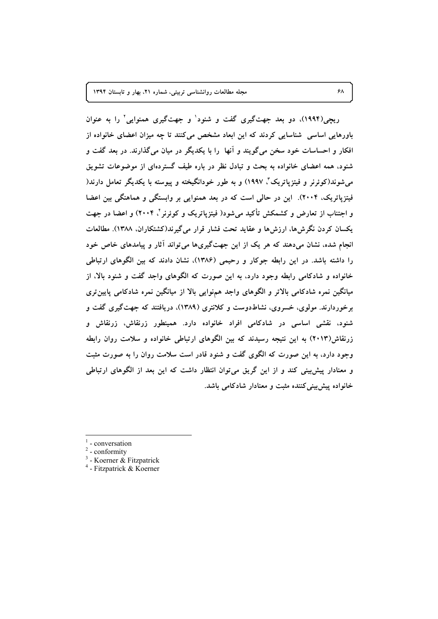مجله مطالعات روانشناسی تربیتی، شماره ۲۱، بهار و تابستان ۱۳۹۴

ریچی(۱۹۹۴)، دو بعد جهتگیری گفت و شنود' و جهتگیری همنوایی' را به عنوان باورهایی اساسی شناسایی کردند که این ابعاد مشخص میکنند تا چه میزان اعضای خانواده از افکار و احساسات خود سخن میگویند و آنها ً را با یکدیگر در میان میگذارند. در بعد گفت و شنود، همه اعضای خانواده به بحث و تبادل نظر در باره طیف گستردهای از موضوعات تشویق مي شوند(كوئِرنر و فيتزياتريک"، ١٩٩٧) و به طور خودانگيخته و پيوسته با يكديگر تعامل دارند( فیتزیاتریک، ۲۰۰۴). این در حالی است که در بعد همنوایی بر وابستگی و هماهنگی بین اعضا و اجتناب از تعارض و کشمکش تأکید می شود( فیتزیاتریک و کوئرنر ٔ، ۲۰۰۴) و اعضا در جهت يكسان كردن نگرشها، ارزشها و عقايد تحت فشار قرار مي گيرند(كشتكاران، ١٣٨٨). مطالعات انجام شده. نشان میدهند که هر یک از این جهتگیریها می تواند آثار و پیامدهای خاص خود را داشته باشد. در این رابطه جوکار و رحیمی (۱۳۸۶)، نشان دادند که بین الگوهای ارتباطی خانواده و شادکامی رابطه وجود دارد، به این صورت که الگوهای واجد گفت و شنود بالا، از میانگین نمره شادکامی بالاتر و الگوهای واجد همهنوایی بالا از میانگین نمره شادکامی پایین تری برخوردارند. مولوی، خسروی، نشاطدوست و کلانتری (۱۳۸۹). دریافتند که جهتگیری گفت و شنود، نقشی اساسی در شادکامی افراد خانواده دارد. همینطور زرنقاش، زرنقاش و زرنقاش(۲۰۱۳) به این نتیجه رسیدند که بین الگوهای ارتباطی خانواده و سلامت روان رابطه وجود دارد، به این صورت که الگوی گفت و شنود قادر است سلامت روان را به صورت مثبت و معنادار پیش بینی کند و از این گریق می توان انتظار داشت که این بعد از الگوهای ارتباطی خانواده پیش بینی کننده مثبت و معنادار شادکامی باشد.

- conversation
- $2$  conformity
- $3$  Koerner & Fitzpatrick
- $4$  Fitzpatrick & Koerner

 $\mathbf{z}$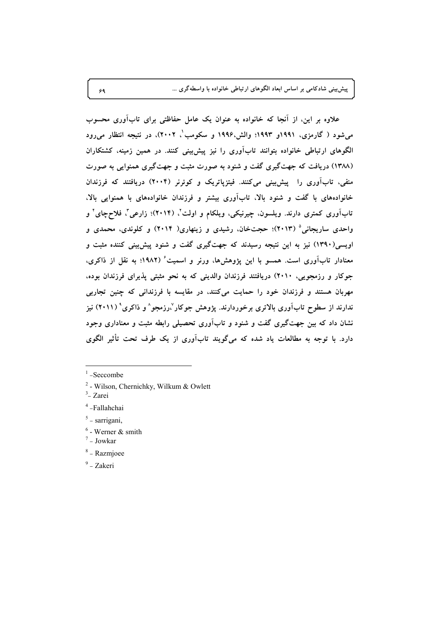**ب**یش:ینی شادکامی بر اساس ابعاد الگوهای ارتباطی خانواده با واسطهگری …

علاوه بر این، از انجا که خانواده به عنوان یک عامل حفاظتی برای تاباوری محسوب میشود ( گارمزی، ۱۹۹۱و ۱۹۹۳؛ والش،۱۹۹۶ و سکومب<sup>'</sup>، ۲۰۰۲)، در نتیجه انتظار میرود الگوهای ارتباطی خانواده بتوانند تاباوری را نیز پیش<sub>ا</sub>ینی کنند. در همین زمینه، کشتکاران (۱۳۸۸) دریافت که جهتگیری گفت و شنود به صورت مثبت و جهتگیری همنوایی به صورت منفی، تاباوری را پیشبینی میکنند. فیتزپاتریک و کوئرنر (۲۰۰۴) دریافتند که فرزندان خانوادههای با گفت و شنود بالا، تاباوری بیشتر و فرزندان خانوادههای با همنوایی بالا، تابآوری کمتری دارند. ویلسون، چیرنیکی، ویلکام و اولت<sup>"</sup>، (۲۰۱۴)؛ زارعی<sup>"</sup>، فلاحچای<sup>٬</sup> و واحدی ساریجانی<sup>۵</sup> (۲۰۱۳)؛ حجتخان، رشیدی و زینهاری( ۲۰۱۴) و کلوندی، محمدی و اویسی(۱۳۹۰) نیز به این نتیجه رسیدند که جهتگیری گفت و شنود پیش<sub>ا</sub>ینی کننده مثبت و معنادار تابآوری است. همسو با این پژوهشها، ورنر و اسمیت<sup>ء</sup> (۱۹۸۲؛ به نقل از ذاکری، جوکار و رزمجویی، ۲۰۱۰) دریافتند فرزندان والدینی که به نحو مثبتی پذیرای فرزندان بوده، مهربان هستند و فرزندان خود را حمایت میکنند، در مقایسه با فرزندانی که چنین تجاربی  $\mathbf{X}$ ندارند از سطوح تابآوری بالاتری برخوردارند. پژوهش جوکار $\mathbf{X}_1$ رزمجو $\mathbf{X}_2$  و ذاکری $\mathbf{X}_3$  نیز نشان داد که بین جهتگیری گفت و شنود و تاباوری تحصیلی رابطه مثبت و معناداری وجود دارد. با توجه به مطالعات یاد شده که میگویند تاباوری از یک طرف تحت تاثیر الگوی

- $2$  Wilson, Chernichky, Wilkum & Owlett
- $3$  Zarei
- <sup>4</sup> -Fallahchai
- $5$  sarrigani,
- $6 \text{Werner} \& \text{smith}$ <br>  $7 \text{Jowkar}$
- 
- <sup>8</sup> Razmjoee
- $9 Z$ akeri

 $1$ -Seccombe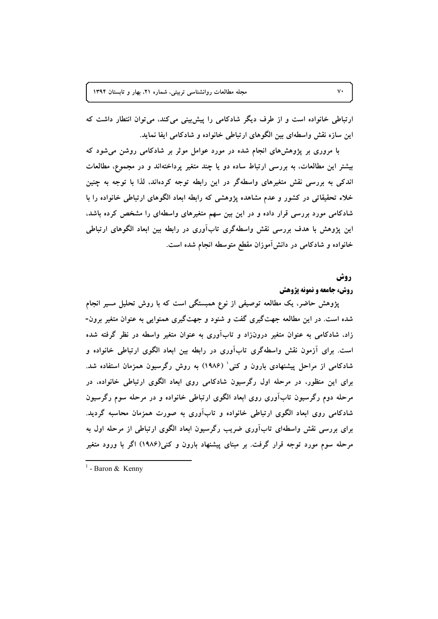ارتباطی خانواده است و از طرف دیگر شادکامی را پیش بینی می کند، می توان انتطار داشت که این سازه نقش واسطهای بین الگوهای ارتباطی خانواده و شادکامی ایفا نماید.

با مروری بر پژوهشهای انجام شده در مورد عوامل موثر بر شادکامی روشن می شود که بیشتر این مطالعات، به بررسی ارتباط ساده دو یا چند متغیر پرداختهاند و در مجموع، مطالعات اندکی به بررسی نقش متغیرهای واسطهگر در این رابطه توجه کردهاند، لذا با توجه به چنین خلاء تحقیقاتی در کشور و عدم مشاهده پژوهشی که رابطه ابعاد الگوهای ارتباطی خانواده را با شادکامی مورد بررسی قرار داده و در این بین سهم متغیرهای واسطهای را مشخص کرده باشد، این پژوهش با هدف بررسی نقش واسطهگری تابآوری در رابطه بین ابعاد الگوهای ارتباطی خانواده و شادکامی در دانش آموزان مقطع متوسطه انجام شده است.

## **روش**

#### **روش، جامعه و نمونه پژوهش**

یژوهش حاضر، یک مطالعه توصیفی از نوع همبستگی است که با روش تحلیل مسیر انجام شده است. در این مطالعه جهتگیری گفت و شنود و جهتگیری همنوایی به عنوان متغیر برون-زاد، شادکامی به عنوان متغیر درونزاد و تابآوری به عنوان متغیر واسطه در نظر گرفته شده است. برای آزمون نقش واسطهگری تابآوری در رابطه بین ابعاد الگوی ارتباطی خانواده و شادکامی از مراحل پیشنهادی بارون و کنی' (۱۹۸۶) به روش رگرسیون همزمان استفاده شد. برای این منظور، در مرحله اول رگرسیون شادکامی روی ابعاد الگوی ارتباطی خانواده، در مرحله دوم رگرسیون تابآوری روی ابعاد الگوی ارتباطی خانواده و در مرحله سوم رگرسیون شادکامی روی ابعاد الگوی ارتباطی خانواده و تابآوری به صورت همزمان محاسبه گردید. برای بررسی نقش واسطهای تابآوری ضریب رگرسیون ابعاد الگوی ارتباطی از مرحله اول به مرحله سوم مورد توجه قرار گرفت. بر مبنای پیشنهاد بارون و کنی(۱۹۸۶) اگر با ورود متغیر

 $1$  - Baron & Kenny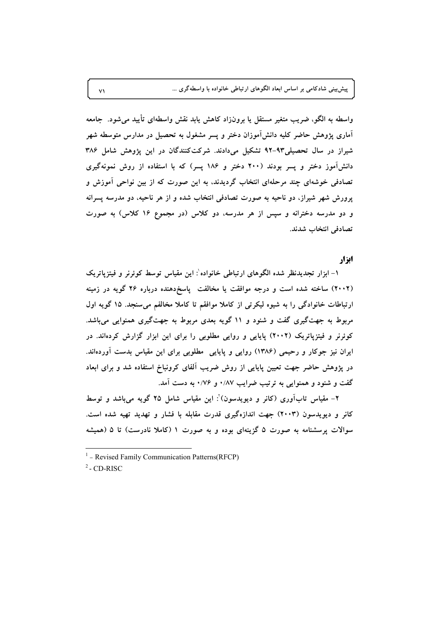پیش بینی شادکامی بر اساس ابعاد الگوهای ارتباطی خانواده با واسطهگری ...

واسطه به الگو، ضریب متغیر مستقل یا برونزاد کاهش یابد نقش واسطهای تأیید می شود. جامعه آماری پژوهش حاضر کلیه دانشآموزان دختر و پسر مشغول به تحصیل در مدارس متوسطه شهر شیراز در سال تحصیلی۹۳-۹۲ تشکیل میدادند. شرکتکنندگان در این پژوهش شامل ۳۸۶ دانشآموز دختر و پسر بودند (۲۰۰ دختر و ۱۸۶ پسر) که با استفاده از روش نمونهگیری تصادفی خوشهای چند مرحلهای انتخاب گردیدند، به این صورت که از بین نواحی آموزش و پرورش شهر شیراز، دو ناحیه به صورت تصادفی انتخاب شده و از هر ناحیه، دو مدرسه پسرانه و دو مدرسه دخترانه و سپس از هر مدرسه، دو کلاس (در مجموع ۱۶ کلاس) به صورت تصادفي انتخاب شدند.

#### ایزار

١- ابزار تجدیدنظر شده الگوهای ارتباطی خانواده : این مقیاس توسط کوئرنر و فیتزیاتریک (۲۰۰۲) ساخته شده است و درجه موافقت یا مخالفت پاسخ دهنده درباره ۲۶ گویه در زمینه ارتباطات خانوادگی را به شیوه لیکرتی از کاملا موافقم تا کاملا مخالفم میسنجد. ١٥ گویه اول مربوط به جهتگیری گفت و شنود و ۱۱ گویه بعدی مربوط به جهتگیری همنوایی میباشد. کوئرنر و فیتزپاتریک (۲۰۰۲) پایایی و روایی مطلوبی را برای این ابزار گزارش کردهاند. در ایران نیز جوکار و رحیمی (۱۳۸۶) روایی و پایایی مطلوبی برای این مقیاس بدست آوردهاند. در پژوهش حاضر جهت تعیین پایایی از روش ضریب آلفای کرونباخ استفاده شد و برای ابعاد گفت و شنود و همنوایی به ترتیب ضرایب ۰/۸۷ و ۰/۷۶ به دست آمد.

۲– مقیاس تابآوری (کانر و دیویدسون) ْ: این مقیاس شامل ۲۵ گویه می،باشد و توسط کانر و دیویدسون (۲۰۰۳) جهت اندازهگیری قدرت مقابله با فشار و تهدید تهیه شده است. سوالات پرسشنامه به صورت ۵ گزینهای بوده و به صورت ۱ (کاملا نادرست) تا ۵ (همیشه

 $2$  - CD-RISC

 $\vee$ 

 $1 -$  Revised Family Communication Patterns (RFCP)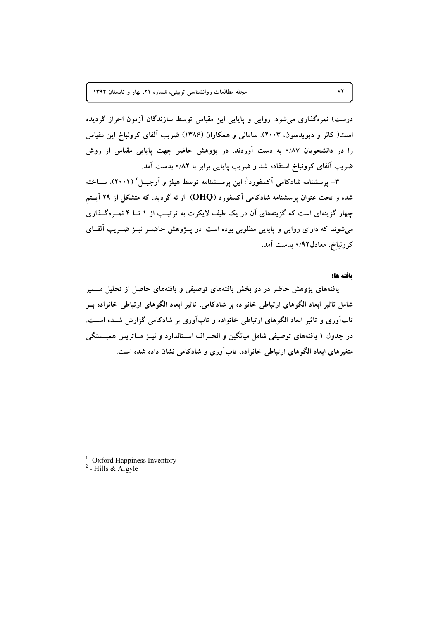درست) نمرهگذاری میشود. روایی و پایایی این مقیاس توسط سازندگان آزمون احراز گردیده است( کانر و دیویدسون، ۲۰۰۳). سامانی و همکاران (۱۳۸۶) ضریب آلفای کرونباخ این مقیاس را در دانشجویان ۸۷٪۰ به دست آوردند. در پژوهش حاضر جهت پایایی مقیاس از روش ضریب آلفای کرونباخ استفاده شد و ضریب پایایی برابر با ۰/۸۲ بدست آمد.

۳- پرسشنامه شادکامی آکسفورد': این پرســشنامه توسط هیلز و آرجیــل ' (۲۰۰۱)، ســاخته شده و تحت عنوان برسشنامه شادکامی آکسفورد (OHQ) ارائه گردید. که متشکل از ۲۹ آیستم چهار گزینهای است که گزینههای آن در یک طیف لایکرت به ترتیب از ۱ تــا ۴ نمـرهگــذاری می شوند که دارای روایی و پایایی مطلوبی بوده است. در پیژوهش حاضیر نییز ضیریب آلف)ی كرونباخ، معادل٩٢/ • بدست آمد.

#### يافته ها:

یافتههای پژوهش حاضر در دو بخش یافتههای توصیفی و یافتههای حاصل از تحلیل مــسیر شامل تاثیر ابعاد الگوهای ارتباطی خانواده بر شادکامی، تاثیر ابعاد الگوهای ارتباطی خانواده بــر تاب آوری و تاثیر ابعاد الگوهای ارتباطی خانواده و تاب آوری بر شادکامی گزارش شــده اســت. در جدول ۱ یافتههای توصیفی شامل میانگین و انحـراف اسـتاندارد و نیــز مــاتریس همبــستگی متغیرهای ابعاد الگوهای ارتباطی خانواده، تابآوری و شادکامی نشان داده شده است.

<sup>1</sup> -Oxford Happiness Inventory<br><sup>2</sup> - Hills & Argyle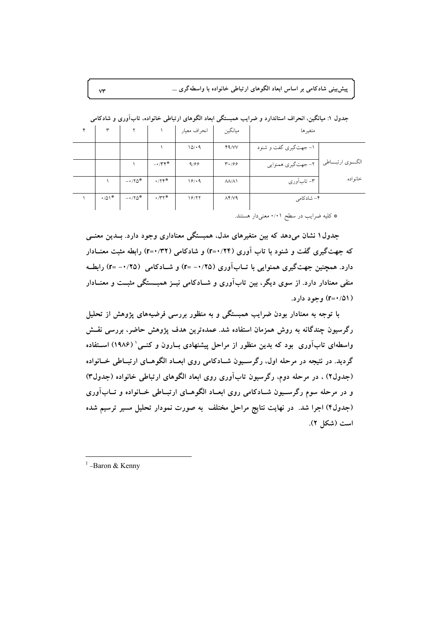پیشبینی شادکامی بر اساس ابعاد الگوهای ارتباطی خانواده با واسطهگری ...

| ۴ |              |         |              | انحراف معيار | ميانگين                  | متغيرها                                   |          |
|---|--------------|---------|--------------|--------------|--------------------------|-------------------------------------------|----------|
|   |              |         |              | 10/4         | Y9/VV                    | ۱- جهتگیری گفت و شنود                     |          |
|   |              |         | $-1$         | 9/99         | $\mathbf{r} \cdot 199$   | الگـــوي ارتبــــاطي   ٢- جهتگيري همنوايي |          |
|   |              | $-170*$ | .77          | 19/4         | $\Lambda\Lambda/\Lambda$ | ۳– تابآوری                                | خانو اده |
|   | $\cdot$ /01* | $-170*$ | $\cdot$ /۳۲* | 18/۲۲        | $\Lambda$ ۴/ $V$ ۹       | ۴– شادکامی                                |          |

جدول ۱: میانگین، انحراف استاندارد و ضرایب همبستگی ابعاد الگوهای ارتباطی خانواده، تابآوری و شادکامی

\* کلیه ضرایب در سطح ۰/۰۱ معنیدار هستند.

جدول ۱ نشان میدهد که بین متغیرهای مدل، همبستگی معناداری وجود دارد. بــدین معنــی که جهت گیری گفت و شنود با تاب آوری (۲۴/۰=۲) و شادکامی (۲۲/۰=۲) رابطه مثبت معنــادار دارد. همچنین جهتگیری همنوایی با تــابآوری (۲۵/۰+ ==r) و شــادکامی (۲۵/۰+= r) رابطــه منفی معنادار دارد. از سوی دیگر، بین تابآوری و شـادکامی نیــز همبــستگی مثبــت و معنــادار ( ۲=۰/۵۱) وجود دارد.

با توجه به معنادار بودن ضرایب همبستگی و به منظور بررسی فرضیههای پژوهش از تحلیل رگرسیون چندگانه به روش همزمان استفاده شد. عمدهترین هدف پژوهش حاضر، بررسی نقــش واسطهای تابآوری بود که بدین منظور از مراحل پیشنهادی بــارون و کنــی' (۱۹۸۶) اســتفاده گردید. در نتیجه در مرحله اول، رگرسـیون شــادکامی روی ابعــاد الگوهــای ارتبــاطی خــانواده (جدول۲) ، در مرحله دوم، رگرسیون تابآوری روی ابعاد الگوهای ارتباطی خانواده (جدول۳) و در مرحله سوم رگرسـیون شـادکامی روی ابعـاد الگوهـای ارتبـاطی خـانواده و تــابآوری (جدول۴) اجرا شد. در نهایت نتایج مراحل مختلف به صورت نمودار تحلیل مسیر ترسیم شده است (شكل ٢).

 $\mathsf{v}\mathsf{r}$ 

 $1$ -Baron & Kenny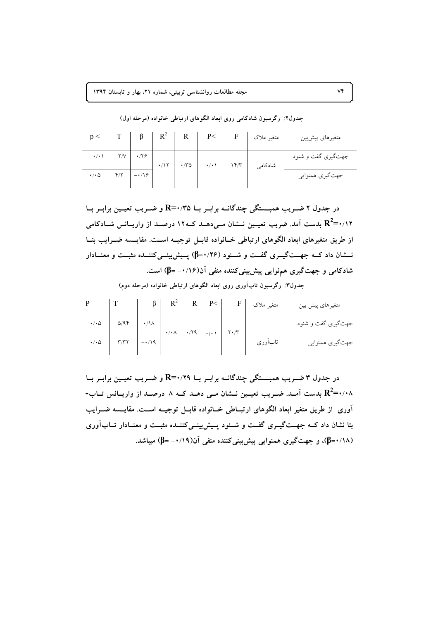|                         |                    |             |             |                 |      | متغير ملاك | متغيرهاي پيشبين    |
|-------------------------|--------------------|-------------|-------------|-----------------|------|------------|--------------------|
| $\cdot/\cdot$ \ $\cdot$ | $Y/V$ $Y/Y$        | $\cdot$ /17 | $\cdot$ /۳۵ | $\cdot/\cdot$ \ | 14/7 | شادكامي    | جهتگیری گفت و شنود |
| $\cdot$ / $\cdot$ 0     | $Y/Y$ - $\sqrt{9}$ |             |             |                 |      |            | جهت گيري همنوايي   |

جدول۲: رگرسیون شادکامی روی ابعاد الگوهای ارتباطی خانواده (مرحله اول)

در جدول ۲ ضریب همبستگی چندگانــه برابـر بــا R=۰/۳۵ و ضـریب تعیــین برابـر بــا ا) ا $\mathbf{R}^2$ بدست آمد. ضریب تعیـین نــشان مـی،دهــد کــه۱۲ درصــد از واریــانس شــادکامی از طریق متغیرهای ابعاد الگوهای ارتباطی خــانواده قابــل توجیــه اســت. مقایــسه ضــرایب بتــا نسشان داد کــه جهــتگیــری گفــت و شــنود (۲۶/ +=β) پــیش بینــی کننــده مثبــت و معنــادار شادکامی و جهتگیری همنوایی پیشبینیکننده منفی آن(۰/۱۶– B) است.

جدول۳: رگرسیون تابآوری روی ابعاد الگوهای ارتباطی خانواده (مرحله دوم)

|                       |                         |                 |  | P<                                                                                                                                                                                                                                                                                                                            | F I | متغير ملاك | متغیرهای پیش بین   |
|-----------------------|-------------------------|-----------------|--|-------------------------------------------------------------------------------------------------------------------------------------------------------------------------------------------------------------------------------------------------------------------------------------------------------------------------------|-----|------------|--------------------|
| $\cdot/\cdot$ $\circ$ | Q/9f                    | $\cdot/\lambda$ |  | $\cdot$ / $\cdot$ / $\cdot$ / $\cdot$ / $\cdot$ / $\cdot$ / $\cdot$ / $\cdot$ / $\cdot$ / $\cdot$ / $\cdot$ / $\cdot$ / $\cdot$ / $\cdot$ / $\cdot$ / $\cdot$ / $\cdot$ / $\cdot$ / $\cdot$ / $\cdot$ / $\cdot$ / $\cdot$ / $\cdot$ / $\cdot$ / $\cdot$ / $\cdot$ / $\cdot$ / $\cdot$ / $\cdot$ / $\cdot$ / $\cdot$ / $\cdot$ |     |            | جهتگیری گفت و شنود |
| $\cdot/\cdot$ $\circ$ | $\mathbf{r}/\mathbf{r}$ | $-1/9$          |  |                                                                                                                                                                                                                                                                                                                               |     | تابأوري    | جهتگیري همنوايي    |

در جدول ۳ ضـریب همبــــتگی چندگانــه برابــر بــا R=۰/۲۹ و ضــریب تعیــین برابــر بــا ۰/۰۸- $\mathbf{R}^2$ بدست آمـد. ضـریب تعیـین نــشان مـی دهـد کــه ۸ درصـد از واریــانس تــاب-۔<br>آوری از طریق متغیر ابعاد الگوهای ارتبــاطی خــانواده قابــل توجیــه اســت. مقایـــسه ضــرایب بتا نشان داد کــه جهــتگيــری گفــت و شــنود پــيش.پينــیکننــده مثبــت و معنــادار تــابآوری (۰/۱۸=β)، و جهت گیری همنوایی پیش بینی کننده منفی آن(۰/۱۹/-=β) میباشد.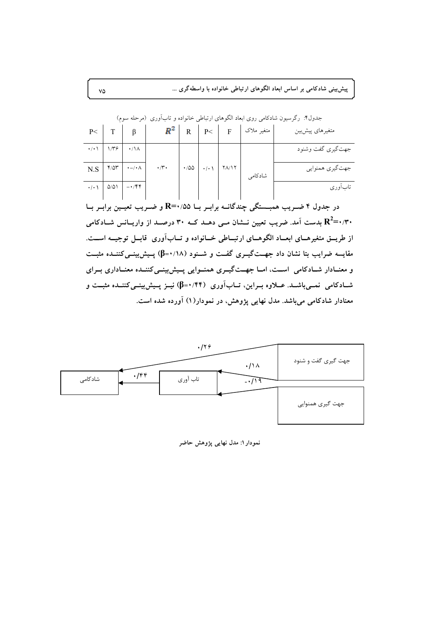پیشبینی شادکامی بر اساس ابعاد الگوهای ارتباطی خانواده با واسطهگری ...

| P<                          |                 |                                                                                                                                                                                                                                                                                                                               | $R^2$                                                          | $\mathsf{R}$                  | $\perp$ P< $\perp$ | $\mathbf{F}$ | متغير ملاك | متغيرهاي پيشبين    |
|-----------------------------|-----------------|-------------------------------------------------------------------------------------------------------------------------------------------------------------------------------------------------------------------------------------------------------------------------------------------------------------------------------|----------------------------------------------------------------|-------------------------------|--------------------|--------------|------------|--------------------|
| $\cdot$ / $\cdot$ \ $\cdot$ | $1/\mathcal{r}$ | $\cdot/\lambda$                                                                                                                                                                                                                                                                                                               |                                                                |                               |                    |              |            | جهت گيري گفت وشنود |
| N.S                         |                 | $Y/\Delta Y$ $\rightarrow$ $-/- \wedge$                                                                                                                                                                                                                                                                                       | $\boldsymbol{\cdot} /\boldsymbol{\uparrow} \boldsymbol{\cdot}$ | $\cdot$ /00 $\cdot$ / $\cdot$ |                    | $Y\Lambda/Y$ | شادكامى    | جهت گیري همنوايي   |
|                             |                 | $\cdot$ / $\cdot$ / $\circ$ / $\circ$ / $\circ$ / $\circ$ / $\circ$ / $\circ$ / $\circ$ / $\circ$ / $\circ$ / $\circ$ / $\circ$ / $\circ$ / $\circ$ / $\circ$ / $\circ$ / $\circ$ / $\circ$ / $\circ$ / $\circ$ / $\circ$ / $\circ$ / $\circ$ / $\circ$ / $\circ$ / $\circ$ / $\circ$ / $\circ$ / $\circ$ / $\circ$ / $\circ$ |                                                                |                               |                    |              |            | تابأورى            |

جدول۴: رگرسیون شادکامی روی ابعاد الگوهای ارتباطی خانواده و تابآوری (مرحله سوم)

---<br>در جدول ۴ ضـریب همبــستگی چندگانــه برابـر بــا R=۰/۵۵ و ضــریب تعیــین برابــر بــا بلدست آمد. ضریب تعیین نـــشان مــی دهــد کـــه ۳۰ درصـــد از واریـــانس شـــادکامی  ${\bf R}^2$ =۰/۳۰ از طریــق متغیرهــای ابعــاد الگوهــای ارتبــاطی خــانواده و تــابآوری قابــل توجیــه اســت. مقایسه ضرایب بتا نشان داد جهــتگیــری گفــت و شــنود (۱۸/۰=β) پــیش:پینــیکننــده مثبــت و معنـادار شـادکامی اسـت، امـا جهـتگيـری همنـوايی پـيشبيني کننـده معنـاداری بـرای شادکامی نمبی باشـد. عــلاوه بــراین، تــاب آوری (۴۴/۰۴۴) نیــز پــیش بینــی کننــده مثبــت و معنادار شادکامی میباشد. مدل نهایی پژوهش، در نمودار(۱) آورده شده است.



نمودار ۱: مدل نهایی پژوهش حاضر

 $\mathsf{V}\mathsf{Q}$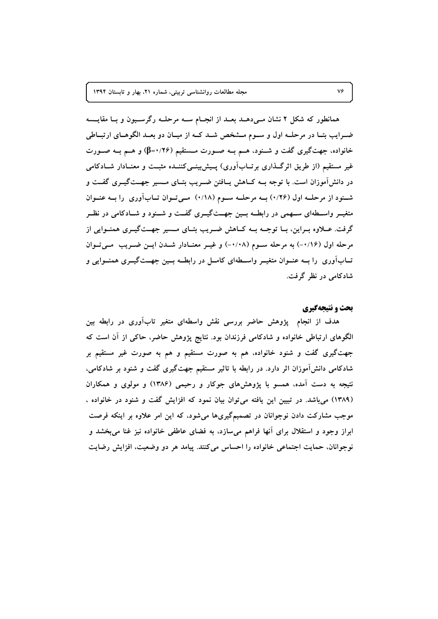همانطور که شکل ۲ نشان مـیدهـد بعـد از انجـام سـه مرحلـه رگرسـیون و بـا مقایــسه ضـرايب بتـا در مرحلــه اول و ســوم مــشخص شــد كــه از ميــان دو بعــد الگوهــاى ارتبــاطى خانواده، جهتگیری گفت و شــنود، هــم بــه صــورت مــستقیم (۲۶/۰=β) و هــم بــه صــورت غیر مستقیم (از طریق اثرگـذاری برتــابآوری) پــیش:پینــیکننــده مثبــت و معنــادار شــادکامی در دانشآموزان است. با توجه بــه کــاهش يــافتن ضــريب بتــاى مــسير جهــتگيــرى گفــت و شنود از مرحله اول (۱/۲۶) بـه مرحلـه سـوم (۱/۸) مـی تـوان تـابآوری وا بـه عنـوان متغیــر واســطهای ســهمی در رابطــه بــین جهــتگیــری گفــت و شــنود و شــادکامی در نظــر گرفت. عبلاوه بیراین، بیا توجیه بیه کیاهش ضیریب بتیای میسیر جهیتگییری همنیوایی از مرحله اول (١/١٤-) به مرحله سـوم (١/٠٨-) و غيـر معنـادار شـدن ايـن ضـريب مـى تـوان تــابآوری را بــه عنــوان متغیــر واســـطهای کامــل در رابطــه بــین جهــتگیــری همنــوایی و شادکامی در نظر گرفت.

#### بحث و نتیجهگیری

هدف از انجام پژوهش حاضر بررسی نقش واسطهای متغیر تابآوری در رابطه بین الگوهای ارتباطی خانواده و شادکامی فرزندان بود. نتایج پژوهش حاضر، حاکی از آن است که جهتگیری گفت و شنود خانواده، هم به صورت مستقیم و هم به صورت غیر مستقیم بر شادکامی دانشآموزان اثر دارد. در رابطه با تاثیر مستقیم جهتگیری گفت و شنود بر شادکامی، نتیجه به دست آمده، همسو با پژوهشهای جوکار و رحیمی (۱۳۸۶) و مولوی و همکاران (۱۳۸۹) میباشد. در تبیین این یافته میتوان بیان نمود که افزایش گفت و شنود در خانواده ، موجب مشارکت دادن نوجوانان در تصمیمگیریها میشود، که این امر علاوه بر اینکه فرصت ابراز وجود و استقلال برای آنها فراهم میسازد، به فضای عاطفی خانواده نیز غنا میبخشد و نوجوانان، حمایت اجتماعی خانواده را احساس میکنند. پیامد هر دو وضعیت، افزایش رضایت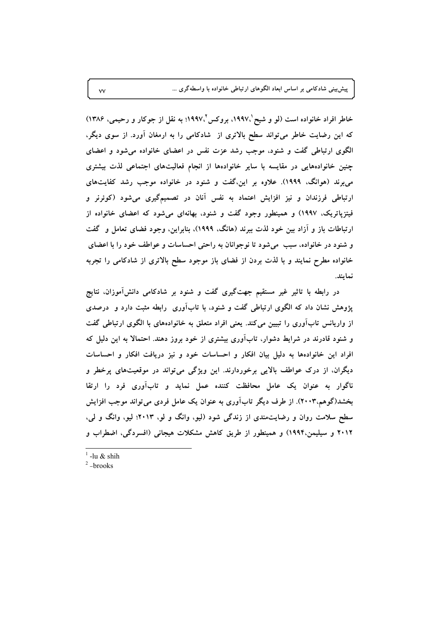پیش بینی شادکامی بر اساس ابعاد الگوهای ارتباطی خانواده با واسطهگری ...

خاطر افراد خانواده است (لو و شیح '،۱۹۹۷، بروکس'،۱۹۹۷؛ به نقل از جوکار و رحیمی، ۱۳۸۶) که این رضایت خاطر میتواند سطح بالاتری از شادکامی را به ارمغان آورد. از سوی دیگر، الگوی ارتباطی گفت و شنود، موجب رشد عزت نفس در اعضای خانواده می شود و اعضای چنین خانوادههایی در مقایسه با سایر خانوادهها از انجام فعالیتهای اجتماعی لذت بیشتری می برند (هوانگ، ۱۹۹۹). علاوه بر این،گفت و شنود در خانواده موجب رشد کفایتهای ارتباطی فرزندان و نیز افزایش اعتماد به نفس آنان در تصمیمگیری میشود (کوئرنر و فیتزیاتریک، ۱۹۹۷) و همینطور وجود گفت و شنود، بهانهای می شود که اعضای خانواده از ارتباطات باز و آزاد بین خود لذت ببرند (هانگ، ۱۹۹۹)، بنابراین، وجود فضای تعامل و گفت و شنود در خانواده، سبب ً می شود تا نوجوانان به راحتی احساسات و عواطف خود را با اعضای خانواده مطرح نمایند و با لذت بردن از فضای باز موجود سطح بالاتری از شادکامی را تجربه نمايند.

در رابطه با تاثیر غیر مستقیم جهتگیری گفت و شنود بر شادکامی دانش آموزان، نتایج پژوهش نشان داد که الگوی ارتباطی گفت و شنود، با تابآوری رابطه مثبت دارد و درصدی از واریانس تابآوری را تبیین میکند. یعنی افراد متعلق به خانوادههای با الگوی ارتباطی گفت و شنود قادرند در شرایط دشوار، تابآوری بیشتری از خود بروز دهند. احتمالا به این دلیل که افراد این خانوادهها به دلیل بیان افکار و احساسات خود و نیز دریافت افکار و احساسات دیگران، از درک عواطف بالایی برخوردارند. این ویژگی میتواند در موقعیتهای پرخطر و ناگوار به عنوان یک عامل محافظت کننده عمل نماید و تابآوری فرد را ارتقا بخشد(گوهم.۲۰۰۳). از طرف دیگر تابآوری به عنوان یک عامل فردی می تواند موجب افزایش سطح سلامت روان و رضایتمندی از زندگی شود (لیو، وانگ و لو، ۲۰۱۳؛ لیو، وانگ و لی، ۲۰۱۲ و سیلیمن،۱۹۹۴) و همینطور از طریق کاهش مشکلات هیجانی (افسردگی، اضطراب و

 $\frac{1}{2}$ -lu & shih

 $\vee$ 

 $2$ -brooks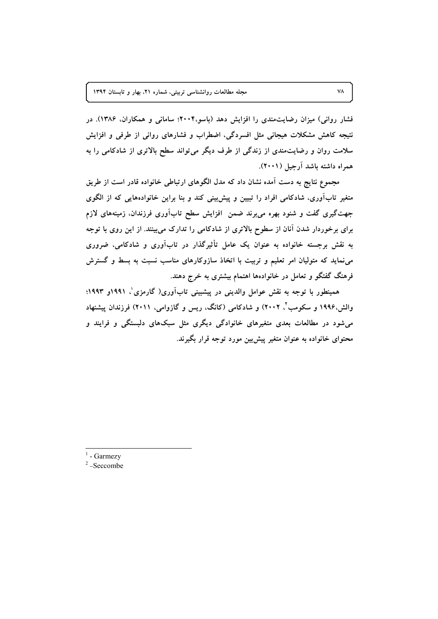فشار روانی) میزان رضایتمندی را افزایش دهد (باسو،۲۰۰۴؛ سامانی و همکاران، ۱۳۸۶). در نتیجه کاهش مشکلات هیجانی مثل افسردگی، اضطراب و فشارهای روانی از طرفی و افزایش سلامت روان و رضایتمندی از زندگی از طرف دیگر میتواند سطح بالاتری از شادکامی را به همراه داشته باشد آرجيل (٢٠٠١).

مجموع نتایج به دست آمده نشان داد که مدل الگوهای ارتباطی خانواده قادر است از طریق متغیر تابآوری، شادکامی افراد را تبیین و پیشبینی کند و بنا براین خانوادههایی که از الگوی جهت گیری گفت و شنود بهره می برند ضمن افزایش سطح تابآوری فرزندان، زمینههای لازم برای برخوردار شدن آنان از سطوح بالاتری از شادکامی را تدارک می بینند. از این روی با توجه به نقش برجسته خانواده به عنوان یک عامل تأثیرگذار در تابآوری و شادکامی، ضروری مینماید که متولیان امر تعلیم و تربیت با اتخاذ سازوکارهای مناسب نسبت به بسط و گسترش فرهنگ گفتگو و تعامل در خانوادهها اهتمام بیشتری به خرج دهند.

همینطور با توجه به نقش عوامل والدینی در پیشبینی تابآوری( گارمزی'، ۱۹۹۱و ۱۹۹۳؛ والش،۱۹۹۶ و سکومب'، ۲۰۰۲) و شادکامی (کانگ، ریس و گازوامی، ۲۰۱۱) فرزندان پیشنهاد می شود در مطالعات بعدی متغیرهای خانوادگی دیگری مثل سبکهای دلبستگی و فرایند و محتوای خانواده به عنوان متغیر پیش بین مورد توجه قرار بگیرند.

<sup>1</sup> - Garmezv

 $2$ -Seccombe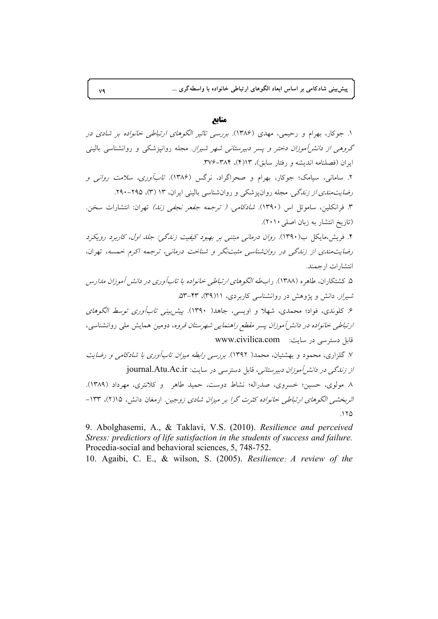پیش بینی شادکامی بر اساس ابعاد الگوهای ارتباطی خانواده با واسطهگری …

#### **@**

۱. جوکار، بهرام و رحیمی، مهدی (۱۳۸۶). *بررسی تاثیر الگوهای ارتباطی خانواده بر شادی در* گر*وهی از دانشآموزان دختر و پسر دبیرستانی شهر شیراز*. مجله روانپزشکی و روانشناسی بالینی ایران (فصلنامه اندیشه و رفتار سابق)، ۳/۴-۳۸۴-۳۷۶. ۲. سامانی، سیامک؛ جوکار، بهرام و صحراگراد، نرگس (۱۳۸۶). *تابآوری، سلامت روانی و* ر*ضایتمندی از زندگی*. مجله روانپزشکی و روانشناسی بالینی ایران، ۱۳ (۳)، ۲۹۵–۲۹۰. ۳. فرانکلین، ساموئل اس (۱۳۹۰). *شادکامی. ( ترجمه جفعر نجفی زند)* تهران: انتشارات سخن. (تاریخ انتشار به زبان اصلی ۲۰۱۰). ۴. فریش،مایکل ب(۱۳۹۰). *روان درمانی مبتنی بر بهبود کیفیت زندگی: جلد اول، کاربرد رویکرد* رضایتهندی از زندگی در روانشناسی مثبتنگر و شناخت درمانی، ترجمه اکرم خمسه، تهران، انتشارات ارجمند. ۵. کشتکاران، طاهره (۱۳۸۸). راب*طه الگوهای ارتباطی خانواده با تابآوری در دانش آموزان مدارس* ش*یراز*. دانش و پژوهش در روانشناسی کاربردی، ۴۱(۳۹)، ۴۳–۵۳. ۶. کلوندی، فواد؛ محمدی، شهلا و اویسی، جاهد( ۱۳۹۰). *پیش بینی تابآوری توسط الگوهای ارتباطی خانواده در دانش(موزان پسر مقطع راهنمایی شهرستان قروه*، دومین همایش ملی روانشناسی، قابل دسترسی در سایت: www.civilica.com ۷. گلزاری، محمود و بهشتیان، محمد( ۱۳۹۲). *بررسی رابطه میزان تابآوری با شادکامی و رضایت از زندگی در دانش[موزان دبیرستانی*، قابل دسترسی در سایت: journal.Atu.Ac.ir ۸ مولوی، حسین؛ خسروی، صدراله؛ نشاط دوست، حمید طاهر و کلانتری، مهرداد (۱۳۸۹). اثربخشـی الگوهای ارتباطی خانواده کثرت گرا بر میزان شادی زوجین. ارمغان دانش، ۱۵(۲)، ۱۳۳-.125

9. Abolghasemi, A., & Taklavi, V.S. (2010). *Resilience and perceived Stress: predictiors of life satisfaction in the students of success and failure.* Procedia-social and behavioral sciences, 5, 748-752.

10. Agaibi, C. E., & wilson, S. (2005). *Resilience*: *A review of the*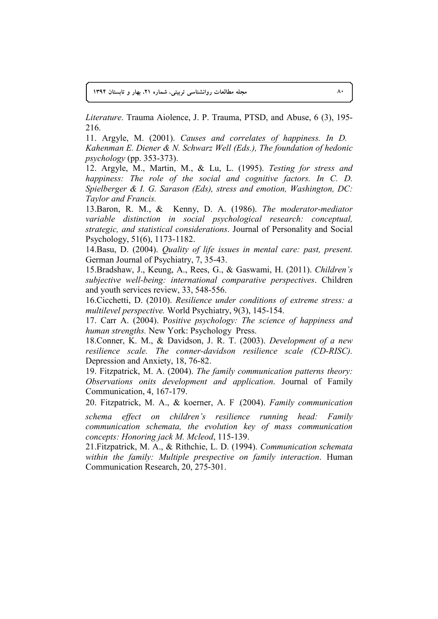**1394 ;9@'
 A' N21 6 D5 N(90'# (&>I) T4\* -FX 80**

*Literature*. Trauma Aiolence, J. P. Trauma, PTSD, and Abuse, 6 (3), 195- 216.

11. Argyle, M. (2001). *Causes and correlates of happiness. In D. Kahenman E. Diener & N. Schwarz Well (Eds.), The foundation of hedonic psychology* (pp. 353-373).

12. Argyle, M., Martin, M., & Lu, L. (1995). *Testing for stress and happiness: The role of the social and cognitive factors. In C. D. Spielberger & I. G. Sarason (Eds), stress and emotion, Washington, DC: Taylor and Francis.* 

13.Baron, R. M., & Kenny, D. A. (1986). *The moderator-mediator variable distinction in social psychological research: conceptual, strategic, and statistical considerations*. Journal of Personality and Social Psychology, 51(6), 1173-1182.

14.Basu, D. (2004). *Quality of life issues in mental care: past, present.* German Journal of Psychiatry, 7, 35-43.

15.Bradshaw, J., Keung, A., Rees, G., & Gaswami, H. (2011). *Children's subjective well-being: international comparative perspectives*. Children and youth services review, 33, 548-556.

16.Cicchetti, D. (2010). *Resilience under conditions of extreme stress: a multilevel perspective.* World Psychiatry, 9(3), 145-154.

17. Carr A. (2004). P*ositive psychology: The science of happiness and human strengths.* New York: Psychology Press.

18.Conner, K. M., & Davidson, J. R. T. (2003). *Development of a new resilience scale. The conner-davidson resilience scale (CD-RISC).* Depression and Anxiety, 18, 76-82.

19. Fitzpatrick, M. A. (2004). *The family communication patterns theory: Observations onits development and application*. Journal of Family Communication, 4, 167-179.

20. Fitzpatrick, M. A., & koerner, A. F .(2004). *Family communication* 

*schema effect on children's resilience running head: Family communication schemata, the evolution key of mass communication concepts: Honoring jack M. Mcleod*, 115-139.

21.Fitzpatrick, M. A., & Rithchie, L. D. (1994). *Communication schemata within the family: Multiple prespective on family interaction*. Human Communication Research, 20, 275-301.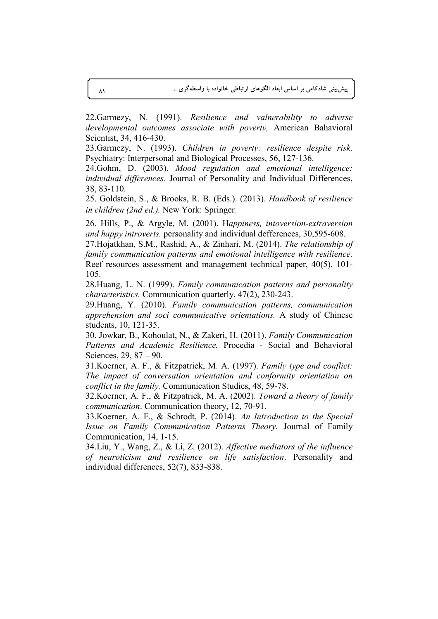22.Garmezy, N. (1991). *Resilience and valnerability to adverse developmental outcomes associate with poverty,* American Bahavioral Scientist, 34, 416-430.

23.Garmezy, N. (1993). *Children in poverty: resilience despite risk.* Psychiatry: Interpersonal and Biological Processes, 56, 127-136.

24.Gohm, D. (2003). *Mood regulation and emotional intelligence: individual differences.* Journal of Personality and Individual Differences, 38, 83-110.

25. Goldstein, S., & Brooks, R. B. (Eds.). (2013). *Handbook of resilience in children (2nd ed.).* New York: Springer.

26. Hills, P., & Argyle, M. (2001). H*appiness, intoversion-extraversion and happy introverts.* personality and individual defferences, 30,595-608.

27.Hojatkhan, S.M., Rashid, A., & Zinhari, M. (2014). *The relationship of family communication patterns and emotional intelligence with resilience.* Reef resources assessment and management technical paper, 40(5), 101- 105.

28.Huang, L. N. (1999). *Family communication patterns and personality characteristics.* Communication quarterly, 47(2), 230-243.

29.Huang, Y. (2010). *Family communication patterns, communication apprehension and soci communicative orientations.* A study of Chinese students, 10, 121-35.

30. Jowkar, B., Kohoulat, N., & Zakeri, H. (2011). *Family Communication Patterns and Academic Resilience.* Procedia - Social and Behavioral Sciences, 29, 87 – 90.

31.Koerner, A. F., & Fitzpatrick, M. A. (1997). *Family type and conflict: The impact of conversation orientation and conformity orientation on conflict in the family.* Communication Studies, 48, 59-78.

32.Koerner, A. F., & Fitzpatrick, M. A. (2002). *Toward a theory of family communication*. Communication theory, 12, 70-91.

33.Koerner, A. F., & Schrodt, P. (2014). *An Introduction to the Special Issue on Family Communication Patterns Theory.* Journal of Family Communication, 14, 1-15.

34.Liu, Y., Wang, Z., & Li, Z. (2012). *Affective mediators of the influence of neuroticism and resilience on life satisfaction*. Personality and individual differences, 52(7), 833-838.